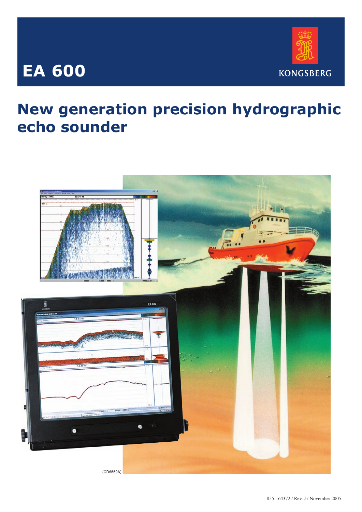

# **EA 600**

## **New generation precision hydrographic echo sounder**

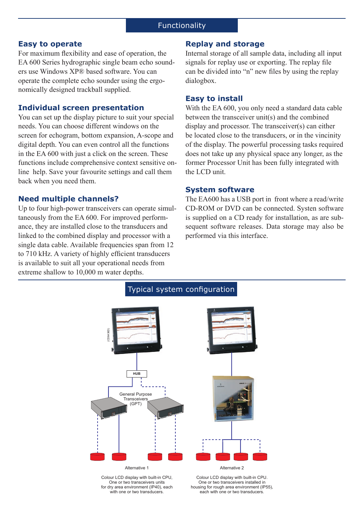#### **Easy to operate**

For maximum flexibility and ease of operation, the EA 600 Series hydrographic single beam echo sounders use Windows XP® based software. You can operate the complete echo sounder using the ergonomically designed trackball supplied.

## **Individual screen presentation**

You can set up the display picture to suit your special needs. You can choose different windows on the screen for echogram, bottom expansion, A-scope and digital depth. You can even control all the functions in the EA 600 with just a click on the screen. These functions include comprehensive context sensitive online help. Save your favourite settings and call them back when you need them.

## **Need multiple channels?**

Up to four high-power transceivers can operate simultaneously from the EA 600. For improved performance, they are installed close to the transducers and linked to the combined display and processor with a single data cable. Available frequencies span from 12 to 710 kHz. A variety of highly efficient transducers is available to suit all your operational needs from extreme shallow to 10,000 m water depths.

### **Replay and storage**

Internal storage of all sample data, including all input signals for replay use or exporting. The replay file can be divided into "n" new files by using the replay dialogbox.

## **Easy to install**

With the EA 600, you only need a standard data cable between the transceiver unit(s) and the combined display and processor. The transceiver(s) can either be located close to the transducers, or in the vincinity of the display. The powerful processing tasks required does not take up any physical space any longer, as the former Processor Unit has been fully integrated with the LCD unit.

#### **System software**

The EA600 has a USB port in front where a read/write CD-ROM or DVD can be connected. Systen software is supplied on a CD ready for installation, as are subsequent software releases. Data storage may also be performed via this interface.



with one or two transducers.

## Typical system configuration

housing for rough area environment ( IP55), each with one or two transducers.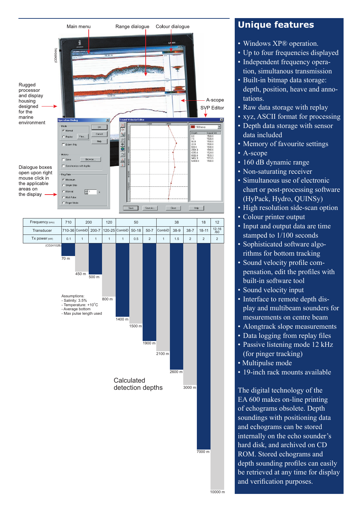

## **Unique features**

- Windows XP® operation.
- Up to four frequencies displayed
- Independent frequency operation, simultanous transmission
- Built-in bitmap data storage: depth, position, heave and annotations.
- Raw data storage with replay
- xyz, ASCII format for processing
- Depth data storage with sensor data included
- Memory of favourite settings
- A-scope
- 160 dB dynamic range
- Non-saturating receiver
- Simultanous use of electronic chart or post-processing software (HyPack, Hydro, QUINSy)
- High resolution side-scan option
- Colour printer output
- Input and output data are time stamped to 1/100 seconds
- Sophisticated software algorithms for bottom tracking
- Sound velocity profile compensation, edit the profiles with built-in software tool
- Sound velocity input
- Interface to remote depth display and multibeam sounders for mesurements on centre beam
- Alongtrack slope measurements
- Data logging from replay files
- Passive listening mode 12 kHz (for pinger tracking)
- Multipulse mode
- 19-inch rack mounts available

The digital technology of the EA 600 makes on-line printing of echograms obsolete. Depth soundings with positioning data and echograms can be stored internally on the echo sounder's hard disk, and archived on CD ROM. Stored echograms and depth sounding profiles can easily be retrieved at any time for display and verification purposes.